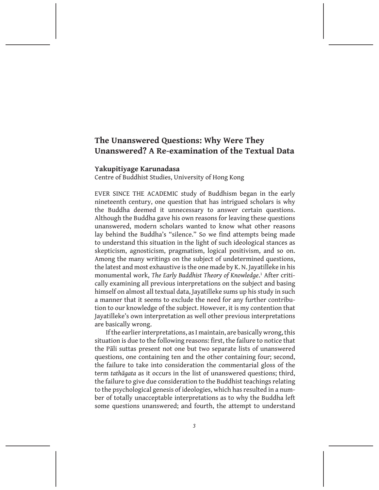## **The Unanswered Questions: Why Were They Unanswered? A Re-examination of the Textual Data**

## **Yakupitiyage Karunadasa**

Centre of Buddhist Studies, University of Hong Kong

EVER SINCE THE ACADEMIC study of Buddhism began in the early nineteenth century, one question that has intrigued scholars is why the Buddha deemed it unnecessary to answer certain questions. Although the Buddha gave his own reasons for leaving these questions unanswered, modern scholars wanted to know what other reasons lay behind the Buddha's "silence." So we find attempts being made to understand this situation in the light of such ideological stances as skepticism, agnosticism, pragmatism, logical positivism, and so on. Among the many writings on the subject of undetermined questions, the latest and most exhaustive is the one made by K. N. Jayatilleke in his monumental work, *The Early Buddhist Theory of Knowledge*. <sup>1</sup> After critically examining all previous interpretations on the subject and basing himself on almost all textual data, Jayatilleke sums up his study in such a manner that it seems to exclude the need for any further contribution to our knowledge of the subject. However, it is my contention that Jayatilleke's own interpretation as well other previous interpretations are basically wrong.

If the earlier interpretations, as I maintain, are basically wrong, this situation is due to the following reasons: first, the failure to notice that the Pāli suttas present not one but two separate lists of unanswered questions, one containing ten and the other containing four; second, the failure to take into consideration the commentarial gloss of the term *tathāgata* as it occurs in the list of unanswered questions; third, the failure to give due consideration to the Buddhist teachings relating to the psychological genesis of ideologies, which has resulted in a number of totally unacceptable interpretations as to why the Buddha left some questions unanswered; and fourth, the attempt to understand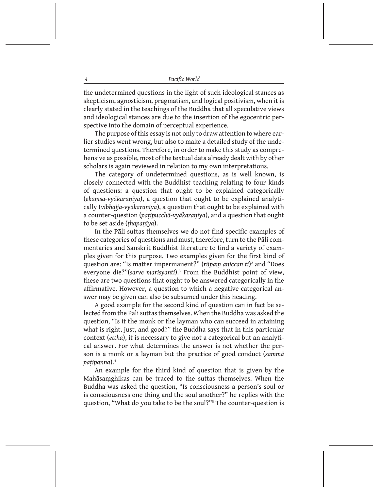the undetermined questions in the light of such ideological stances as skepticism, agnosticism, pragmatism, and logical positivism, when it is clearly stated in the teachings of the Buddha that all speculative views and ideological stances are due to the insertion of the egocentric perspective into the domain of perceptual experience.

The purpose of this essay is not only to draw attention to where earlier studies went wrong, but also to make a detailed study of the undetermined questions. Therefore, in order to make this study as comprehensive as possible, most of the textual data already dealt with by other scholars is again reviewed in relation to my own interpretations.

The category of undetermined questions, as is well known, is closely connected with the Buddhist teaching relating to four kinds of questions: a question that ought to be explained categorically (*ekaṃsa-vyākaraṇīya*), a question that ought to be explained analytically (*vibhajja-vyākaraṇīya*), a question that ought to be explained with a counter-question (*paṭipucchā-vyākaraṇīya*), and a question that ought to be set aside (*ṭhapaṇīya*).

In the Pāli suttas themselves we do not find specific examples of these categories of questions and must, therefore, turn to the Pāli commentaries and Sanskrit Buddhist literature to find a variety of examples given for this purpose. Two examples given for the first kind of question are: "Is matter impermanent?" (*rūpaṃ aniccan ti*) 2 and "Does everyone die?"(*sarve marisyanti*).3 From the Buddhist point of view, these are two questions that ought to be answered categorically in the affirmative. However, a question to which a negative categorical answer may be given can also be subsumed under this heading.

A good example for the second kind of question can in fact be selected from the Pāli suttas themselves. When the Buddha was asked the question, "Is it the monk or the layman who can succeed in attaining what is right, just, and good?" the Buddha says that in this particular context (*ettha*), it is necessary to give not a categorical but an analytical answer. For what determines the answer is not whether the person is a monk or a layman but the practice of good conduct (*sammā paṭipanna*).4

An example for the third kind of question that is given by the Mahāsaṃghikas can be traced to the suttas themselves. When the Buddha was asked the question, "Is consciousness a person's soul or is consciousness one thing and the soul another?" he replies with the question, "What do you take to be the soul?"<sup>5</sup> The counter-question is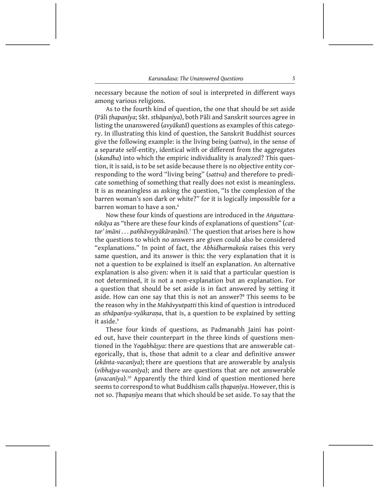necessary because the notion of soul is interpreted in different ways among various religions.

As to the fourth kind of question, the one that should be set aside (Pāli *ṭhapanīya*; Skt. *sthāpanīya*), both Pāli and Sanskrit sources agree in listing the unanswered (*avyākatā*) questions as examples of this category. In illustrating this kind of question, the Sanskrit Buddhist sources give the following example: is the living being (*sattva*), in the sense of a separate self-entity, identical with or different from the aggregates (s*kandha*) into which the empiric individuality is analyzed? This question, it is said, is to be set aside because there is no objective entity corresponding to the word "living being" (*sattva*) and therefore to predicate something of something that really does not exist is meaningless. It is as meaningless as asking the question, "Is the complexion of the barren woman's son dark or white?" for it is logically impossible for a barren woman to have a son.<sup>6</sup>

Now these four kinds of questions are introduced in the *Aṅguttaranikāya* as "there are these four kinds of explanations of questions" (*cattar' imāni . . . pañhāveyyākāraṇāni*).7 The question that arises here is how the questions to which no answers are given could also be considered "explanations." In point of fact, the *Abhidharmakośa* raises this very same question, and its answer is this: the very explanation that it is not a question to be explained is itself an explanation. An alternative explanation is also given: when it is said that a particular question is not determined, it is not a non-explanation but an explanation. For a question that should be set aside is in fact answered by setting it aside. How can one say that this is not an answer?<sup>8</sup> This seems to be the reason why in the *Mahāvyutpatti* this kind of question is introduced as *sthāpanīya-vyākaraṇa*, that is, a question to be explained by setting it aside.<sup>9</sup>

These four kinds of questions, as Padmanabh Jaini has pointed out, have their counterpart in the three kinds of questions mentioned in the *Yogabhāṣya*: there are questions that are answerable categorically, that is, those that admit to a clear and definitive answer (*ekānta-vacanīya*); there are questions that are answerable by analysis (*vibhajya-vacanīya*); and there are questions that are not answerable (*avacanīya*).10 Apparently the third kind of question mentioned here seems to correspond to what Buddhism calls *ṭhapaṇīya*. However, this is not so. *Ṭhapaṇīya* means that which should be set aside. To say that the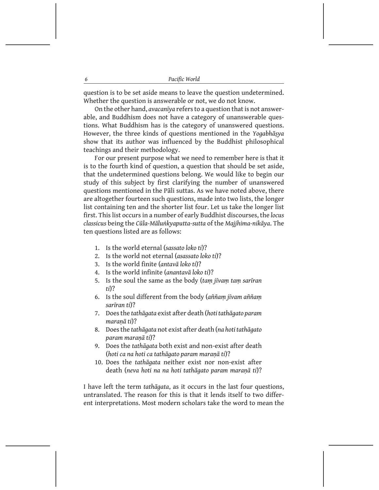question is to be set aside means to leave the question undetermined. Whether the question is answerable or not, we do not know.

On the other hand, *avacanīya* refers to a question that is not answerable, and Buddhism does not have a category of unanswerable questions. What Buddhism has is the category of unanswered questions. However, the three kinds of questions mentioned in the *Yogabhāṣya*  show that its author was influenced by the Buddhist philosophical teachings and their methodology.

For our present purpose what we need to remember here is that it is to the fourth kind of question, a question that should be set aside, that the undetermined questions belong. We would like to begin our study of this subject by first clarifying the number of unanswered questions mentioned in the Pāli suttas. As we have noted above, there are altogether fourteen such questions, made into two lists, the longer list containing ten and the shorter list four. Let us take the longer list first. This list occurs in a number of early Buddhist discourses, the *locus classicus* being the *Cūla-Māluṅkyaputta-sutta* of the *Majjhima-nikāya*. The ten questions listed are as follows:

- 1. Is the world eternal (*sassato loko ti*)?
- 2. Is the world not eternal (*asassato loko ti*)?
- 3. Is the world finite (*antavā loko ti*)?
- 4. Is the world infinite (*anantavā loko ti*)?
- 5. Is the soul the same as the body (*taṃ jīvaṃ taṃ sarīran ti*)?
- 6. Is the soul different from the body (*aññaṃ jīvam aññaṃ sarīran ti*)?
- 7. Does the *tathāgata* exist after death (*hoti tathāgato param maraṇā ti*)?
- 8. Does the *tathāgata* not exist after death (*na hoti tathāgato param maraṇā ti*)?
- 9. Does the *tathāgata* both exist and non-exist after death (*hoti ca na hoti ca tathāgato param maraṇā ti*)?
- 10. Does the *tathāgata* neither exist nor non-exist after death (*neva hoti na na hoti tathāgato param maraṇā ti*)?

I have left the term *tathāgata*, as it occurs in the last four questions, untranslated. The reason for this is that it lends itself to two different interpretations. Most modern scholars take the word to mean the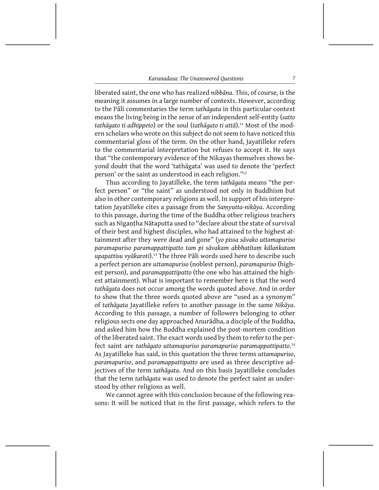liberated saint, the one who has realized *nibbāna*. This, of course, is the meaning it assumes in a large number of contexts. However, according to the Pāli commentaries the term *tathāgata* in this particular context means the living being in the sense of an independent self-entity (*satto tathāgato ti adhippeto*) or the soul (*tathāgato ti attā*).11 Most of the modern scholars who wrote on this subject do not seem to have noticed this commentarial gloss of the term. On the other hand, Jayatilleke refers to the commentarial interpretation but refuses to accept it. He says that "the contemporary evidence of the Nikayas themselves shows beyond doubt that the word 'tathāgata' was used to denote the 'perfect person' or the saint as understood in each religion."<sup>12</sup>

Thus according to Jayatilleke, the term *tathāgata* means "the perfect person" or "the saint" as understood not only in Buddhism but also in other contemporary religions as well. In support of his interpretation Jayatilleke cites a passage from the *Saṃyutta-nikāya*. According to this passage, during the time of the Buddha other religious teachers such as Nigaṇṭha Nātaputta used to "declare about the state of survival of their best and highest disciples, who had attained to the highest attainment after they were dead and gone" (*yo pissa sāvako uttamapuriso paramapuriso paramappattipatto tam pi sāvakam abbhatītaṃ kālaṅkatam upapattisu vyākaroti*).13 The three Pāli words used here to describe such a perfect person are *uttamapuriso* (noblest person), *paramapuriso* (highest person), and *paramappattipatto* (the one who has attained the highest attainment). What is important to remember here is that the word *tathāgata* does not occur among the words quoted above. And in order to show that the three words quoted above are "used as a synonym" of *tathāgata* Jayatilleke refers to another passage in the same *Nikāya*. According to this passage, a number of followers belonging to other religious sects one day approached Anurādha, a disciple of the Buddha, and asked him how the Buddha explained the post-mortem condition of the liberated saint. The exact words used by them to refer to the perfect saint are *tathāgato uttamapuriso paramapuriso paramappattipatto*. 14 As Jayatilleke has said, in this quotation the three terms *uttamapuriso*, *paramapuriso*, and *paramappattipatto* are used as three descriptive adjectives of the term *tathāgata*. And on this basis Jayatilleke concludes that the term *tathāgata* was used to denote the perfect saint as understood by other religions as well.

We cannot agree with this conclusion because of the following reasons: It will be noticed that in the first passage, which refers to the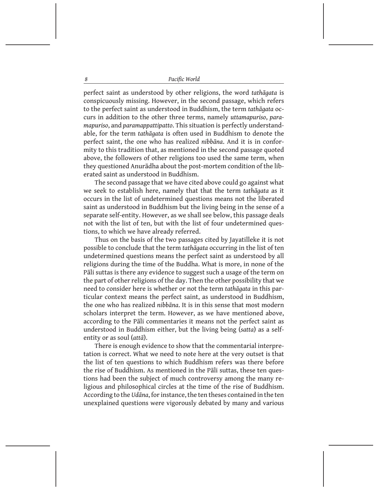perfect saint as understood by other religions, the word *tathāgata* is conspicuously missing. However, in the second passage, which refers to the perfect saint as understood in Buddhism, the term *tathāgata* occurs in addition to the other three terms, namely *uttamapuriso*, *paramapuriso*, and *paramappattipatto*. This situation is perfectly understandable, for the term *tathāgata* is often used in Buddhism to denote the perfect saint, the one who has realized *nibbāna*. And it is in conformity to this tradition that, as mentioned in the second passage quoted above, the followers of other religions too used the same term, when they questioned Anurādha about the post-mortem condition of the liberated saint as understood in Buddhism.

The second passage that we have cited above could go against what we seek to establish here, namely that that the term *tathāgata* as it occurs in the list of undetermined questions means not the liberated saint as understood in Buddhism but the living being in the sense of a separate self-entity. However, as we shall see below, this passage deals not with the list of ten, but with the list of four undetermined questions, to which we have already referred.

Thus on the basis of the two passages cited by Jayatilleke it is not possible to conclude that the term *tathāgata* occurring in the list of ten undetermined questions means the perfect saint as understood by all religions during the time of the Buddha. What is more, in none of the Pāli suttas is there any evidence to suggest such a usage of the term on the part of other religions of the day. Then the other possibility that we need to consider here is whether or not the term *tathāgata* in this particular context means the perfect saint, as understood in Buddhism, the one who has realized *nibbāna*. It is in this sense that most modern scholars interpret the term. However, as we have mentioned above, according to the Pāli commentaries it means not the perfect saint as understood in Buddhism either, but the living being (*satta*) as a selfentity or as soul (*attā*).

There is enough evidence to show that the commentarial interpretation is correct. What we need to note here at the very outset is that the list of ten questions to which Buddhism refers was there before the rise of Buddhism. As mentioned in the Pāli suttas, these ten questions had been the subject of much controversy among the many religious and philosophical circles at the time of the rise of Buddhism. According to the *Udāna*, for instance, the ten theses contained in the ten unexplained questions were vigorously debated by many and various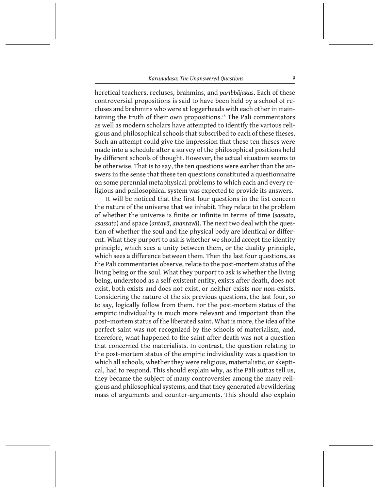heretical teachers, recluses, brahmins, and *paribbājakas*. Each of these controversial propositions is said to have been held by a school of recluses and brahmins who were at loggerheads with each other in maintaining the truth of their own propositions.<sup>15</sup> The Pāli commentators as well as modern scholars have attempted to identify the various religious and philosophical schools that subscribed to each of these theses. Such an attempt could give the impression that these ten theses were made into a schedule after a survey of the philosophical positions held by different schools of thought. However, the actual situation seems to be otherwise. That is to say, the ten questions were earlier than the answers in the sense that these ten questions constituted a questionnaire on some perennial metaphysical problems to which each and every religious and philosophical system was expected to provide its answers.

It will be noticed that the first four questions in the list concern the nature of the universe that we inhabit. They relate to the problem of whether the universe is finite or infinite in terms of time (*sassato*, *asassato*) and space (*antavā*, *anantavā*). The next two deal with the question of whether the soul and the physical body are identical or different. What they purport to ask is whether we should accept the identity principle, which sees a unity between them, or the duality principle, which sees a difference between them. Then the last four questions, as the Pāli commentaries observe, relate to the post-mortem status of the living being or the soul. What they purport to ask is whether the living being, understood as a self-existent entity, exists after death, does not exist, both exists and does not exist, or neither exists nor non-exists. Considering the nature of the six previous questions, the last four, so to say, logically follow from them. For the post-mortem status of the empiric individuality is much more relevant and important than the post–mortem status of the liberated saint. What is more, the idea of the perfect saint was not recognized by the schools of materialism, and, therefore, what happened to the saint after death was not a question that concerned the materialists. In contrast, the question relating to the post-mortem status of the empiric individuality was a question to which all schools, whether they were religious, materialistic, or skeptical, had to respond. This should explain why, as the Pāli suttas tell us, they became the subject of many controversies among the many religious and philosophical systems, and that they generated a bewildering mass of arguments and counter-arguments. This should also explain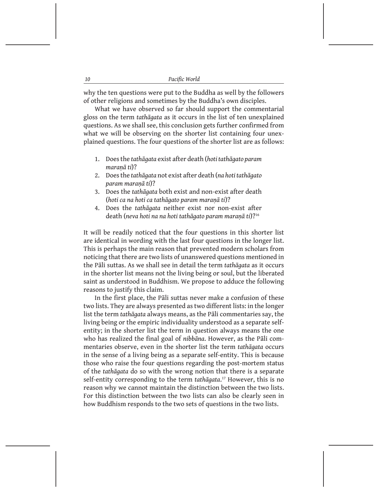| Pacific World |
|---------------|
|               |

why the ten questions were put to the Buddha as well by the followers of other religions and sometimes by the Buddha's own disciples.

What we have observed so far should support the commentarial gloss on the term *tathāgata* as it occurs in the list of ten unexplained questions. As we shall see, this conclusion gets further confirmed from what we will be observing on the shorter list containing four unexplained questions. The four questions of the shorter list are as follows:

- 1. Does the *tathāgata* exist after death (*hoti tathāgato param maraṇā ti*)?
- 2. Does the *tathāgata* not exist after death (*na hoti tathāgato param maraṇā ti*)?
- 3. Does the *tathāgata* both exist and non-exist after death (*hoti ca na hoti ca tathāgato param maraṇā ti*)?
- 4. Does the *tathāgata* neither exist nor non-exist after death (*neva hoti na na hoti tathāgato param maraṇā ti*)?<sup>16</sup>

It will be readily noticed that the four questions in this shorter list are identical in wording with the last four questions in the longer list. This is perhaps the main reason that prevented modern scholars from noticing that there are two lists of unanswered questions mentioned in the Pāli suttas. As we shall see in detail the term *tathāgata* as it occurs in the shorter list means not the living being or soul, but the liberated saint as understood in Buddhism. We propose to adduce the following reasons to justify this claim.

In the first place, the Pāli suttas never make a confusion of these two lists. They are always presented as two different lists: in the longer list the term *tathāgata* always means, as the Pāli commentaries say, the living being or the empiric individuality understood as a separate selfentity; in the shorter list the term in question always means the one who has realized the final goal of *nibbāna*. However, as the Pāli commentaries observe, even in the shorter list the term *tathāgata* occurs in the sense of a living being as a separate self-entity. This is because those who raise the four questions regarding the post-mortem status of the *tathāgata* do so with the wrong notion that there is a separate self-entity corresponding to the term *tathāgata*. 17 However, this is no reason why we cannot maintain the distinction between the two lists. For this distinction between the two lists can also be clearly seen in how Buddhism responds to the two sets of questions in the two lists.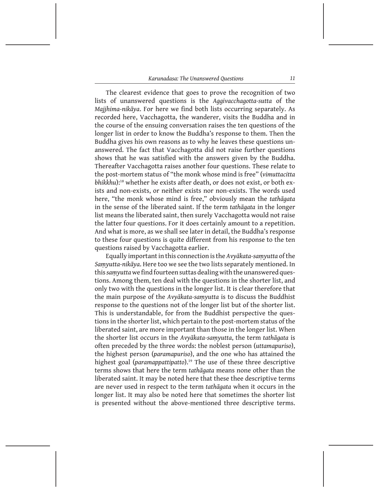The clearest evidence that goes to prove the recognition of two lists of unanswered questions is the *Aggivacchagotta-sutta* of the *Majjhima-nikāya*. For here we find both lists occurring separately. As recorded here, Vacchagotta, the wanderer, visits the Buddha and in the course of the ensuing conversation raises the ten questions of the longer list in order to know the Buddha's response to them. Then the Buddha gives his own reasons as to why he leaves these questions unanswered. The fact that Vacchagotta did not raise further questions shows that he was satisfied with the answers given by the Buddha. Thereafter Vacchagotta raises another four questions. These relate to the post-mortem status of "the monk whose mind is free" (*vimuttacitta bhikkhu*):18 whether he exists after death, or does not exist, or both exists and non-exists, or neither exists nor non-exists. The words used here, "the monk whose mind is free," obviously mean the *tathāgata* in the sense of the liberated saint. If the term *tathāgata* in the longer list means the liberated saint, then surely Vacchagotta would not raise the latter four questions. For it does certainly amount to a repetition. And what is more, as we shall see later in detail, the Buddha's response to these four questions is quite different from his response to the ten questions raised by Vacchagotta earlier.

Equally important in this connection is the *Avyākata-saṃyutta* of the *Saṃyutta-nikāya*. Here too we see the two lists separately mentioned. In this *saṃyutta* we find fourteen suttas dealing with the unanswered questions. Among them, ten deal with the questions in the shorter list, and only two with the questions in the longer list. It is clear therefore that the main purpose of the *Avyākata-saṃyutta* is to discuss the Buddhist response to the questions not of the longer list but of the shorter list. This is understandable, for from the Buddhist perspective the questions in the shorter list, which pertain to the post-mortem status of the liberated saint, are more important than those in the longer list. When the shorter list occurs in the *Avyākata-saṃyutta*, the term *tathāgata* is often preceded by the three words: the noblest person (*uttamapuriso*), the highest person (*paramapuriso*), and the one who has attained the highest goal (*paramappattipatto*).19 The use of these three descriptive terms shows that here the term *tathāgata* means none other than the liberated saint. It may be noted here that these thee descriptive terms are never used in respect to the term *tathāgata* when it occurs in the longer list. It may also be noted here that sometimes the shorter list is presented without the above-mentioned three descriptive terms.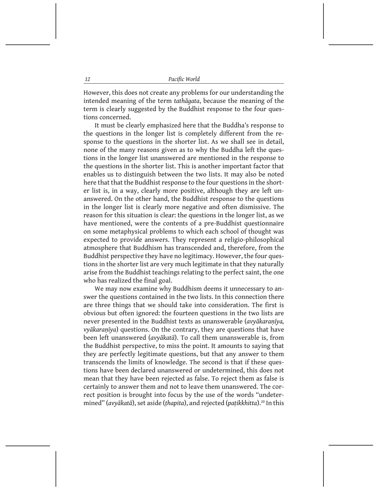However, this does not create any problems for our understanding the intended meaning of the term *tathāgata*, because the meaning of the term is clearly suggested by the Buddhist response to the four questions concerned.

It must be clearly emphasized here that the Buddha's response to the questions in the longer list is completely different from the response to the questions in the shorter list. As we shall see in detail, none of the many reasons given as to why the Buddha left the questions in the longer list unanswered are mentioned in the response to the questions in the shorter list. This is another important factor that enables us to distinguish between the two lists. It may also be noted here that that the Buddhist response to the four questions in the shorter list is, in a way, clearly more positive, although they are left unanswered. On the other hand, the Buddhist response to the questions in the longer list is clearly more negative and often dismissive. The reason for this situation is clear: the questions in the longer list, as we have mentioned, were the contents of a pre-Buddhist questionnaire on some metaphysical problems to which each school of thought was expected to provide answers. They represent a religio-philosophical atmosphere that Buddhism has transcended and, therefore, from the Buddhist perspective they have no legitimacy. However, the four questions in the shorter list are very much legitimate in that they naturally arise from the Buddhist teachings relating to the perfect saint, the one who has realized the final goal.

We may now examine why Buddhism deems it unnecessary to answer the questions contained in the two lists. In this connection there are three things that we should take into consideration. The first is obvious but often ignored: the fourteen questions in the two lists are never presented in the Buddhist texts as unanswerable (*avyākaraṇīya, vyākaraṇīya*) questions. On the contrary, they are questions that have been left unanswered (*avyākatā*). To call them unanswerable is, from the Buddhist perspective, to miss the point. It amounts to saying that they are perfectly legitimate questions, but that any answer to them transcends the limits of knowledge. The second is that if these questions have been declared unanswered or undetermined, this does not mean that they have been rejected as false. To reject them as false is certainly to answer them and not to leave them unanswered. The correct position is brought into focus by the use of the words "undetermined" (*avyākatā*), set aside (*ṭhapita*), and rejected (*paṭikkhitta*).20 In this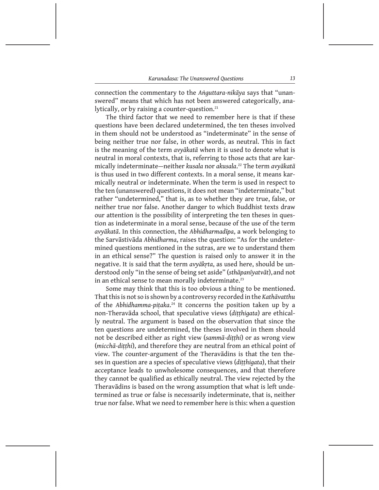connection the commentary to the *Aṅguttara-nikāya* says that "unanswered" means that which has not been answered categorically, analytically, or by raising a counter-question.<sup>21</sup>

The third factor that we need to remember here is that if these questions have been declared undetermined, the ten theses involved in them should not be understood as "indeterminate" in the sense of being neither true nor false, in other words, as neutral. This in fact is the meaning of the term *avyākatā* when it is used to denote what is neutral in moral contexts, that is, referring to those acts that are karmically indeterminate—neither *kusala* nor *akusala*. <sup>22</sup> The term *avyākatā* is thus used in two different contexts. In a moral sense, it means karmically neutral or indeterminate. When the term is used in respect to the ten (unanswered) questions, it does not mean "indeterminate," but rather "undetermined," that is, as to whether they are true, false, or neither true nor false. Another danger to which Buddhist texts draw our attention is the possibility of interpreting the ten theses in question as indeterminate in a moral sense, because of the use of the term *avyākatā*. In this connection, the *Abhidharmadīpa*, a work belonging to the Sarvāstivāda *Abhidharma*, raises the question: "As for the undetermined questions mentioned in the sutras, are we to understand them in an ethical sense?" The question is raised only to answer it in the negative. It is said that the term *avyākṛta*, as used here, should be understood only "in the sense of being set aside" (*sthāpanīyatvāt*), and not in an ethical sense to mean morally indeterminate.<sup>23</sup>

Some may think that this is too obvious a thing to be mentioned. That this is not so is shown by a controversy recorded in the *Kathāvatthu* of the *Abhidhamma-piṭaka*. <sup>24</sup> It concerns the position taken up by a non-Theravāda school, that speculative views (*diṭṭhigata*) are ethically neutral. The argument is based on the observation that since the ten questions are undetermined, the theses involved in them should not be described either as right view (*sammā-diṭṭhi*) or as wrong view (*micchā-diṭṭhi*), and therefore they are neutral from an ethical point of view. The counter-argument of the Theravādins is that the ten theses in question are a species of speculative views (*diṭṭhigata*), that their acceptance leads to unwholesome consequences, and that therefore they cannot be qualified as ethically neutral. The view rejected by the Theravādins is based on the wrong assumption that what is left undetermined as true or false is necessarily indeterminate, that is, neither true nor false. What we need to remember here is this: when a question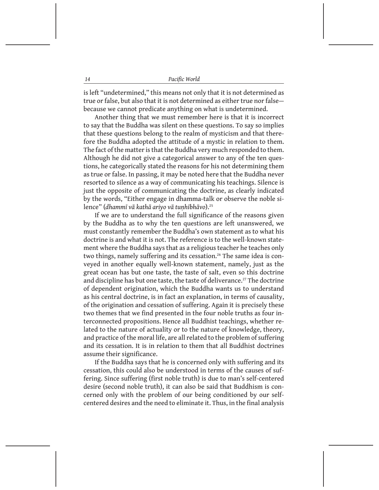is left "undetermined," this means not only that it is not determined as true or false, but also that it is not determined as either true nor false because we cannot predicate anything on what is undetermined.

Another thing that we must remember here is that it is incorrect to say that the Buddha was silent on these questions. To say so implies that these questions belong to the realm of mysticism and that therefore the Buddha adopted the attitude of a mystic in relation to them. The fact of the matter is that the Buddha very much responded to them. Although he did not give a categorical answer to any of the ten questions, he categorically stated the reasons for his not determining them as true or false. In passing, it may be noted here that the Buddha never resorted to silence as a way of communicating his teachings. Silence is just the opposite of communicating the doctrine, as clearly indicated by the words, "Either engage in dhamma-talk or observe the noble silence" (*dhammī vā kathā ariyo vā tuṇhībhāvo*).25

If we are to understand the full significance of the reasons given by the Buddha as to why the ten questions are left unanswered, we must constantly remember the Buddha's own statement as to what his doctrine is and what it is not. The reference is to the well-known statement where the Buddha says that as a religious teacher he teaches only two things, namely suffering and its cessation.<sup>26</sup> The same idea is conveyed in another equally well-known statement, namely, just as the great ocean has but one taste, the taste of salt, even so this doctrine and discipline has but one taste, the taste of deliverance.<sup>27</sup> The doctrine of dependent origination, which the Buddha wants us to understand as his central doctrine, is in fact an explanation, in terms of causality, of the origination and cessation of suffering. Again it is precisely these two themes that we find presented in the four noble truths as four interconnected propositions. Hence all Buddhist teachings, whether related to the nature of actuality or to the nature of knowledge, theory, and practice of the moral life, are all related to the problem of suffering and its cessation. It is in relation to them that all Buddhist doctrines assume their significance.

If the Buddha says that he is concerned only with suffering and its cessation, this could also be understood in terms of the causes of suffering. Since suffering (first noble truth) is due to man's self-centered desire (second noble truth), it can also be said that Buddhism is concerned only with the problem of our being conditioned by our selfcentered desires and the need to eliminate it. Thus, in the final analysis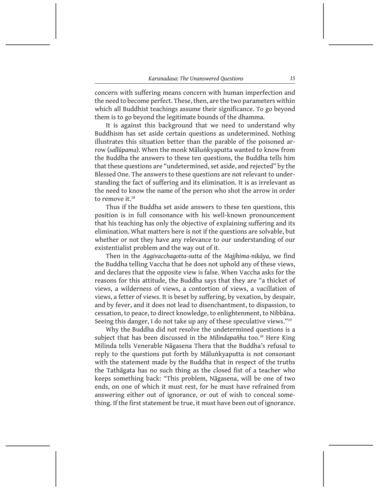concern with suffering means concern with human imperfection and the need to become perfect. These, then, are the two parameters within which all Buddhist teachings assume their significance. To go beyond them is to go beyond the legitimate bounds of the dhamma.

It is against this background that we need to understand why Buddhism has set aside certain questions as undetermined. Nothing illustrates this situation better than the parable of the poisoned arrow (*sallūpama*). When the monk Māluṅkyaputta wanted to know from the Buddha the answers to these ten questions, the Buddha tells him that these questions are "undetermined, set aside, and rejected" by the Blessed One. The answers to these questions are not relevant to understanding the fact of suffering and its elimination. It is as irrelevant as the need to know the name of the person who shot the arrow in order to remove it.<sup>28</sup>

Thus if the Buddha set aside answers to these ten questions, this position is in full consonance with his well-known pronouncement that his teaching has only the objective of explaining suffering and its elimination. What matters here is not if the questions are solvable, but whether or not they have any relevance to our understanding of our existentialist problem and the way out of it.

Then in the *Aggivacchagotta-sutta* of the *Majjhima-nikāya*, we find the Buddha telling Vaccha that he does not uphold any of these views, and declares that the opposite view is false. When Vaccha asks for the reasons for this attitude, the Buddha says that they are "a thicket of views, a wilderness of views, a contortion of views, a vacillation of views, a fetter of views. It is beset by suffering, by vexation, by despair, and by fever, and it does not lead to disenchantment, to dispassion, to cessation, to peace, to direct knowledge, to enlightenment, to Nibbāna. Seeing this danger, I do not take up any of these speculative views."<sup>29</sup>

Why the Buddha did not resolve the undetermined questions is a subject that has been discussed in the *Milindapañha* too.<sup>30</sup> Here King Milinda tells Venerable Nāgasena Thera that the Buddha's refusal to reply to the questions put forth by Māluṅkyaputta is not consonant with the statement made by the Buddha that in respect of the truths the Tathāgata has no such thing as the closed fist of a teacher who keeps something back: "This problem, Nāgasena, will be one of two ends, on one of which it must rest, for he must have refrained from answering either out of ignorance, or out of wish to conceal something. If the first statement be true, it must have been out of ignorance.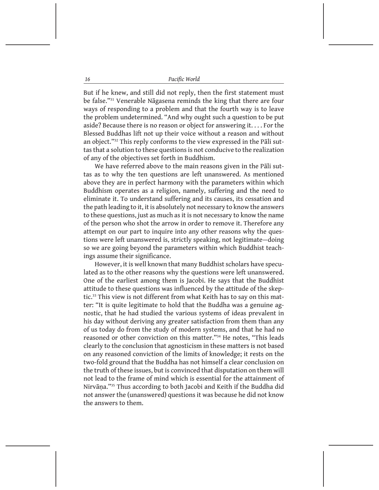But if he knew, and still did not reply, then the first statement must be false."31 Venerable Nāgasena reminds the king that there are four ways of responding to a problem and that the fourth way is to leave the problem undetermined. "And why ought such a question to be put aside? Because there is no reason or object for answering it. . . . For the Blessed Buddhas lift not up their voice without a reason and without an object."32 This reply conforms to the view expressed in the Pāli suttas that a solution to these questions is not conducive to the realization of any of the objectives set forth in Buddhism.

We have referred above to the main reasons given in the Pāli suttas as to why the ten questions are left unanswered. As mentioned above they are in perfect harmony with the parameters within which Buddhism operates as a religion, namely, suffering and the need to eliminate it. To understand suffering and its causes, its cessation and the path leading to it, it is absolutely not necessary to know the answers to these questions, just as much as it is not necessary to know the name of the person who shot the arrow in order to remove it. Therefore any attempt on our part to inquire into any other reasons why the questions were left unanswered is, strictly speaking, not legitimate—doing so we are going beyond the parameters within which Buddhist teachings assume their significance.

However, it is well known that many Buddhist scholars have speculated as to the other reasons why the questions were left unanswered. One of the earliest among them is Jacobi. He says that the Buddhist attitude to these questions was influenced by the attitude of the skeptic.33 This view is not different from what Keith has to say on this matter: "It is quite legitimate to hold that the Buddha was a genuine agnostic, that he had studied the various systems of ideas prevalent in his day without deriving any greater satisfaction from them than any of us today do from the study of modern systems, and that he had no reasoned or other conviction on this matter."34 He notes, "This leads clearly to the conclusion that agnosticism in these matters is not based on any reasoned conviction of the limits of knowledge; it rests on the two-fold ground that the Buddha has not himself a clear conclusion on the truth of these issues, but is convinced that disputation on them will not lead to the frame of mind which is essential for the attainment of Nirvāṇa."<sup>35</sup> Thus according to both Jacobi and Keith if the Buddha did not answer the (unanswered) questions it was because he did not know the answers to them.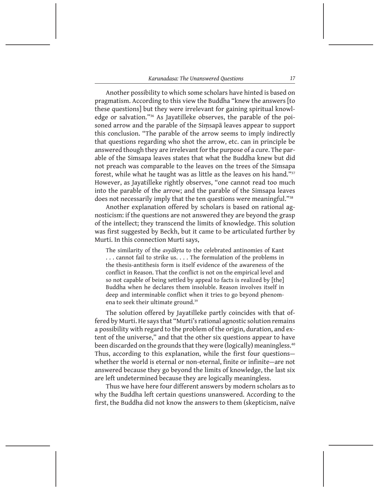Another possibility to which some scholars have hinted is based on pragmatism. According to this view the Buddha "knew the answers [to these questions] but they were irrelevant for gaining spiritual knowledge or salvation."36 As Jayatilleke observes, the parable of the poisoned arrow and the parable of the Siṃsapā leaves appear to support this conclusion. "The parable of the arrow seems to imply indirectly that questions regarding who shot the arrow, etc. can in principle be answered though they are irrelevant for the purpose of a cure. The parable of the Simsapa leaves states that what the Buddha knew but did not preach was comparable to the leaves on the trees of the Simsapa forest, while what he taught was as little as the leaves on his hand."37 However, as Jayatilleke rightly observes, "one cannot read too much into the parable of the arrow; and the parable of the Simsapa leaves does not necessarily imply that the ten questions were meaningful."<sup>38</sup>

Another explanation offered by scholars is based on rational agnosticism: if the questions are not answered they are beyond the grasp of the intellect; they transcend the limits of knowledge. This solution was first suggested by Beckh, but it came to be articulated further by Murti. In this connection Murti says,

The similarity of the *avyākṛta* to the celebrated antinomies of Kant . . . cannot fail to strike us. . . . The formulation of the problems in the thesis-antithesis form is itself evidence of the awareness of the conflict in Reason. That the conflict is not on the empirical level and so not capable of being settled by appeal to facts is realized by [the] Buddha when he declares them insoluble. Reason involves itself in deep and interminable conflict when it tries to go beyond phenomena to seek their ultimate ground.<sup>39</sup>

The solution offered by Jayatilleke partly coincides with that offered by Murti. He says that "Murti's rational agnostic solution remains a possibility with regard to the problem of the origin, duration, and extent of the universe," and that the other six questions appear to have been discarded on the grounds that they were (logically) meaningless.<sup>40</sup> Thus, according to this explanation, while the first four questions whether the world is eternal or non-eternal, finite or infinite—are not answered because they go beyond the limits of knowledge, the last six are left undetermined because they are logically meaningless.

Thus we have here four different answers by modern scholars as to why the Buddha left certain questions unanswered. According to the first, the Buddha did not know the answers to them (skepticism, naïve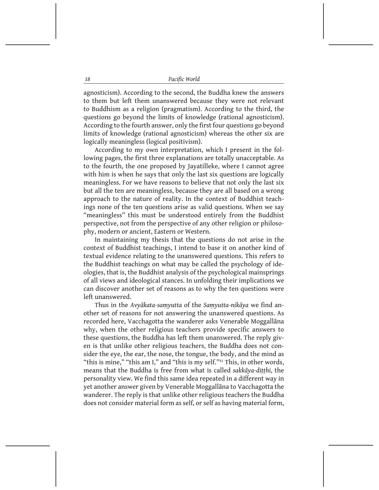agnosticism). According to the second, the Buddha knew the answers to them but left them unanswered because they were not relevant to Buddhism as a religion (pragmatism). According to the third, the questions go beyond the limits of knowledge (rational agnosticism). According to the fourth answer, only the first four questions go beyond limits of knowledge (rational agnosticism) whereas the other six are logically meaningless (logical positivism).

According to my own interpretation, which I present in the following pages, the first three explanations are totally unacceptable. As to the fourth, the one proposed by Jayatilleke, where I cannot agree with him is when he says that only the last six questions are logically meaningless. For we have reasons to believe that not only the last six but all the ten are meaningless, because they are all based on a wrong approach to the nature of reality. In the context of Buddhist teachings none of the ten questions arise as valid questions. When we say "meaningless" this must be understood entirely from the Buddhist perspective, not from the perspective of any other religion or philosophy, modern or ancient, Eastern or Western.

In maintaining my thesis that the questions do not arise in the context of Buddhist teachings, I intend to base it on another kind of textual evidence relating to the unanswered questions. This refers to the Buddhist teachings on what may be called the psychology of ideologies, that is, the Buddhist analysis of the psychological mainsprings of all views and ideological stances. In unfolding their implications we can discover another set of reasons as to why the ten questions were left unanswered.

Thus in the *Avyākata-saṃyutta* of the *Saṃyutta-nikāya* we find another set of reasons for not answering the unanswered questions. As recorded here, Vacchagotta the wanderer asks Venerable Moggallāna why, when the other religious teachers provide specific answers to these questions, the Buddha has left them unanswered. The reply given is that unlike other religious teachers, the Buddha does not consider the eye, the ear, the nose, the tongue, the body, and the mind as "this is mine," "this am I," and "this is my self."41 This, in other words, means that the Buddha is free from what is called *sakkāya-diṭṭhi*, the personality view. We find this same idea repeated in a different way in yet another answer given by Venerable Moggallāna to Vacchagotta the wanderer. The reply is that unlike other religious teachers the Buddha does not consider material form as self, or self as having material form,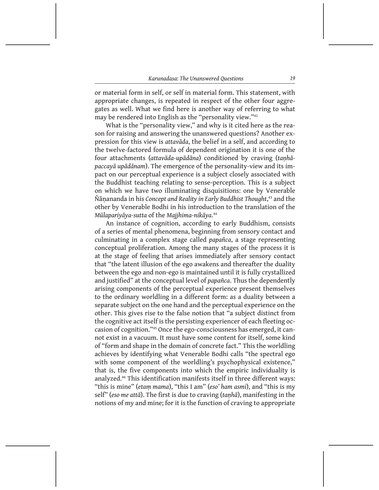or material form in self, or self in material form. This statement, with appropriate changes, is repeated in respect of the other four aggregates as well. What we find here is another way of referring to what may be rendered into English as the "personality view."<sup>42</sup>

What is the "personality view," and why is it cited here as the reason for raising and answering the unanswered questions? Another expression for this view is *attavāda*, the belief in a self, and according to the twelve-factored formula of dependent origination it is one of the four attachments (*attavāda-upādāna*) conditioned by craving (*taṇhāpaccayā upādānam*). The emergence of the personality-view and its impact on our perceptual experience is a subject closely associated with the Buddhist teaching relating to sense-perception. This is a subject on which we have two illuminating disquisitions: one by Venerable Ñāṇananda in his *Concept and Reality in Early Buddhist Thought*, 43 and the other by Venerable Bodhi in his introduction to the translation of the *Mūlapariyāya-sutta* of the *Majjhima-nikāya*. 44

An instance of cognition, according to early Buddhism, consists of a series of mental phenomena, beginning from sensory contact and culminating in a complex stage called *papañca*, a stage representing conceptual proliferation. Among the many stages of the process it is at the stage of feeling that arises immediately after sensory contact that "the latent illusion of the ego awakens and thereafter the duality between the ego and non-ego is maintained until it is fully crystallized and justified" at the conceptual level of *papañca*. Thus the dependently arising components of the perceptual experience present themselves to the ordinary worldling in a different form: as a duality between a separate subject on the one hand and the perceptual experience on the other. This gives rise to the false notion that "a subject distinct from the cognitive act itself is the persisting experiencer of each fleeting occasion of cognition."45 Once the ego-consciousness has emerged, it cannot exist in a vacuum. It must have some content for itself, some kind of "form and shape in the domain of concrete fact." This the worldling achieves by identifying what Venerable Bodhi calls "the spectral ego with some component of the worldling's psychophysical existence," that is, the five components into which the empiric individuality is analyzed.<sup>46</sup> This identification manifests itself in three different ways: "this is mine" (*etaṃ mama*), "this I am" (*eso' ham asmi*), and "this is my self" (*eso me attā*). The first is due to craving (*taṇhā*), manifesting in the notions of my and mine; for it is the function of craving to appropriate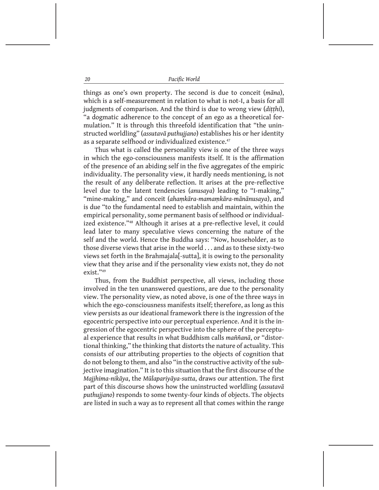things as one's own property. The second is due to conceit (*māna*), which is a self-measurement in relation to what is not-I, a basis for all judgments of comparison. And the third is due to wrong view (*diṭṭhi*), "a dogmatic adherence to the concept of an ego as a theoretical formulation." It is through this threefold identification that "the uninstructed worldling" (*assutavā puthujjano*) establishes his or her identity as a separate selfhood or individualized existence.<sup>47</sup>

Thus what is called the personality view is one of the three ways in which the ego-consciousness manifests itself. It is the affirmation of the presence of an abiding self in the five aggregates of the empiric individuality. The personality view, it hardly needs mentioning, is not the result of any deliberate reflection. It arises at the pre-reflective level due to the latent tendencies (*anusaya*) leading to "I-making," "mine-making," and conceit (*ahaṃkāra-mamaṃkāra-mānānusaya*), and is due "to the fundamental need to establish and maintain, within the empirical personality, some permanent basis of selfhood or individualized existence."<sup>48</sup> Although it arises at a pre-reflective level, it could lead later to many speculative views concerning the nature of the self and the world. Hence the Buddha says: "Now, householder, as to those diverse views that arise in the world . . . and as to these sixty-two views set forth in the Brahmajala[-sutta], it is owing to the personality view that they arise and if the personality view exists not, they do not exist."49

Thus, from the Buddhist perspective, all views, including those involved in the ten unanswered questions, are due to the personality view. The personality view, as noted above, is one of the three ways in which the ego-consciousness manifests itself; therefore, as long as this view persists as our ideational framework there is the ingression of the egocentric perspective into our perceptual experience. And it is the ingression of the egocentric perspective into the sphere of the perceptual experience that results in what Buddhism calls *maññanā*, or "distortional thinking," the thinking that distorts the nature of actuality. This consists of our attributing properties to the objects of cognition that do not belong to them, and also "in the constructive activity of the subjective imagination." It is to this situation that the first discourse of the *Majjhima-nikāya*, the *Mūlapariyāya-sutta*, draws our attention. The first part of this discourse shows how the uninstructed worldling (*assutavā puthujjano*) responds to some twenty-four kinds of objects. The objects are listed in such a way as to represent all that comes within the range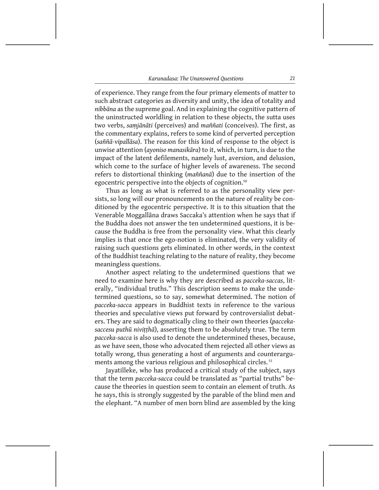of experience. They range from the four primary elements of matter to such abstract categories as diversity and unity, the idea of totality and *nibbāna* as the supreme goal. And in explaining the cognitive pattern of the uninstructed worldling in relation to these objects, the sutta uses two verbs, *saṃjānāti* (perceives) and *maññati* (conceives). The first, as the commentary explains, refers to some kind of perverted perception (*saññā-vipallāsa*). The reason for this kind of response to the object is unwise attention (*ayoniso manasikāra*) to it, which, in turn, is due to the impact of the latent defilements, namely lust, aversion, and delusion, which come to the surface of higher levels of awareness. The second refers to distortional thinking (*maññanā*) due to the insertion of the egocentric perspective into the objects of cognition.<sup>50</sup>

Thus as long as what is referred to as the personality view persists, so long will our pronouncements on the nature of reality be conditioned by the egocentric perspective. It is to this situation that the Venerable Moggallāna draws Saccaka's attention when he says that if the Buddha does not answer the ten undetermined questions, it is because the Buddha is free from the personality view. What this clearly implies is that once the ego-notion is eliminated, the very validity of raising such questions gets eliminated. In other words, in the context of the Buddhist teaching relating to the nature of reality, they become meaningless questions.

Another aspect relating to the undetermined questions that we need to examine here is why they are described as *pacceka-saccas*, literally, "individual truths." This description seems to make the undetermined questions, so to say, somewhat determined. The notion of *pacceka-sacca* appears in Buddhist texts in reference to the various theories and speculative views put forward by controversialist debaters. They are said to dogmatically cling to their own theories (*paccekasaccesu puthū niviṭṭhā*), asserting them to be absolutely true. The term *pacceka-sacca* is also used to denote the undetermined theses, because, as we have seen, those who advocated them rejected all other views as totally wrong, thus generating a host of arguments and counterarguments among the various religious and philosophical circles.<sup>51</sup>

Jayatilleke, who has produced a critical study of the subject, says that the term *pacceka-sacca* could be translated as "partial truths" because the theories in question seem to contain an element of truth. As he says, this is strongly suggested by the parable of the blind men and the elephant. "A number of men born blind are assembled by the king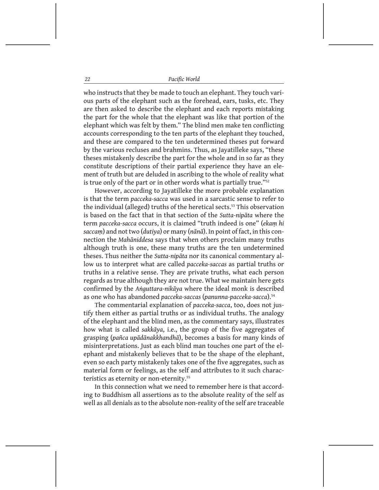who instructs that they be made to touch an elephant. They touch various parts of the elephant such as the forehead, ears, tusks, etc. They are then asked to describe the elephant and each reports mistaking the part for the whole that the elephant was like that portion of the elephant which was felt by them." The blind men make ten conflicting accounts corresponding to the ten parts of the elephant they touched, and these are compared to the ten undetermined theses put forward by the various recluses and brahmins. Thus, as Jayatilleke says, "these theses mistakenly describe the part for the whole and in so far as they constitute descriptions of their partial experience they have an element of truth but are deluded in ascribing to the whole of reality what is true only of the part or in other words what is partially true."<sup>52</sup>

However, according to Jayatilleke the more probable explanation is that the term *pacceka-sacca* was used in a sarcastic sense to refer to the individual (alleged) truths of the heretical sects.<sup>53</sup> This observation is based on the fact that in that section of the *Sutta-nipāta* where the term *pacceka-sacca* occurs, it is claimed "truth indeed is one" (*ekaṃ hi saccaṃ*) and not two (*dutiya*) or many (*nānā*). In point of fact, in this connection the *Mahāniddesa* says that when others proclaim many truths although truth is one, these many truths are the ten undetermined theses. Thus neither the *Sutta-nipāta* nor its canonical commentary allow us to interpret what are called *pacceka-saccas* as partial truths or truths in a relative sense. They are private truths, what each person regards as true although they are not true. What we maintain here gets confirmed by the *Aṅguttara-nikāya* where the ideal monk is described as one who has abandoned *pacceka-saccas* (*panunna-pacceka-sacca*).54

The commentarial explanation of *pacceka-sacca*, too, does not justify them either as partial truths or as individual truths. The analogy of the elephant and the blind men, as the commentary says, illustrates how what is called *sakkāya*, i.e., the group of the five aggregates of grasping (*pañca upādānakkhandhā*), becomes a basis for many kinds of misinterpretations. Just as each blind man touches one part of the elephant and mistakenly believes that to be the shape of the elephant, even so each party mistakenly takes one of the five aggregates, such as material form or feelings, as the self and attributes to it such characteristics as eternity or non-eternity.<sup>55</sup>

In this connection what we need to remember here is that according to Buddhism all assertions as to the absolute reality of the self as well as all denials as to the absolute non-reality of the self are traceable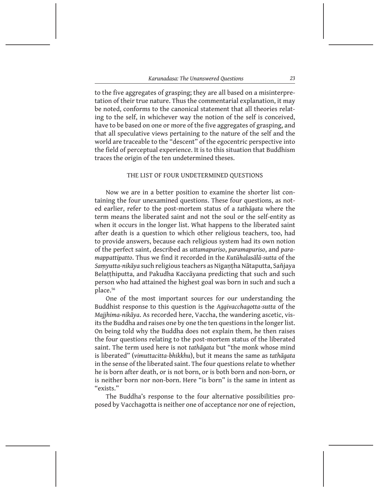to the five aggregates of grasping; they are all based on a misinterpretation of their true nature. Thus the commentarial explanation, it may be noted, conforms to the canonical statement that all theories relating to the self, in whichever way the notion of the self is conceived, have to be based on one or more of the five aggregates of grasping, and that all speculative views pertaining to the nature of the self and the world are traceable to the "descent" of the egocentric perspective into the field of perceptual experience. It is to this situation that Buddhism traces the origin of the ten undetermined theses.

## THE LIST OF FOUR UNDETERMINED QUESTIONS

Now we are in a better position to examine the shorter list containing the four unexamined questions. These four questions, as noted earlier, refer to the post-mortem status of a *tathāgata* where the term means the liberated saint and not the soul or the self-entity as when it occurs in the longer list. What happens to the liberated saint after death is a question to which other religious teachers, too, had to provide answers, because each religious system had its own notion of the perfect saint, described as *uttamapuriso*, *paramapuriso*, and *paramappattipatto*. Thus we find it recorded in the *Kutūhalasālā-sutta* of the *Saṃyutta-nikāya* such religious teachers as Nigaṇṭha Nātaputta, Sañjaya Belaṭṭhiputta, and Pakudha Kaccāyana predicting that such and such person who had attained the highest goal was born in such and such a place.<sup>56</sup>

One of the most important sources for our understanding the Buddhist response to this question is the *Aggivacchagotta-sutta* of the *Majjhima-nikāya*. As recorded here, Vaccha, the wandering ascetic, visits the Buddha and raises one by one the ten questions in the longer list. On being told why the Buddha does not explain them, he then raises the four questions relating to the post-mortem status of the liberated saint. The term used here is not *tathāgata* but "the monk whose mind is liberated" (*vimuttacitta-bhikkhu*), but it means the same as *tathāgata* in the sense of the liberated saint. The four questions relate to whether he is born after death, or is not born, or is both born and non-born, or is neither born nor non-born. Here "is born" is the same in intent as "exists."

The Buddha's response to the four alternative possibilities proposed by Vacchagotta is neither one of acceptance nor one of rejection,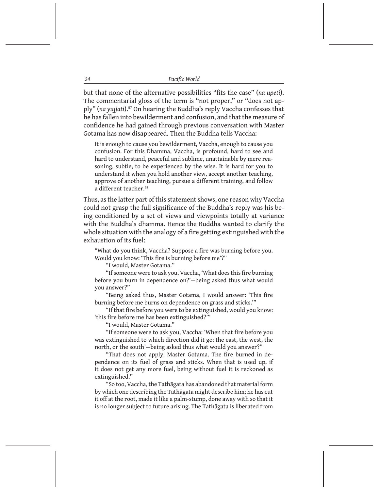but that none of the alternative possibilities "fits the case" (*na upeti*). The commentarial gloss of the term is "not proper," or "does not apply" (*na yujjati*).57 On hearing the Buddha's reply Vaccha confesses that he has fallen into bewilderment and confusion, and that the measure of confidence he had gained through previous conversation with Master Gotama has now disappeared. Then the Buddha tells Vaccha:

It is enough to cause you bewilderment, Vaccha, enough to cause you confusion. For this Dhamma, Vaccha, is profound, hard to see and hard to understand, peaceful and sublime, unattainable by mere reasoning, subtle, to be experienced by the wise. It is hard for you to understand it when you hold another view, accept another teaching, approve of another teaching, pursue a different training, and follow a different teacher.<sup>58</sup>

Thus, as the latter part of this statement shows, one reason why Vaccha could not grasp the full significance of the Buddha's reply was his being conditioned by a set of views and viewpoints totally at variance with the Buddha's dhamma. Hence the Buddha wanted to clarify the whole situation with the analogy of a fire getting extinguished with the exhaustion of its fuel:

"What do you think, Vaccha? Suppose a fire was burning before you. Would you know: 'This fire is burning before me'?"

"I would, Master Gotama."

"If someone were to ask you, Vaccha, 'What does this fire burning before you burn in dependence on?'—being asked thus what would you answer?"

"Being asked thus, Master Gotama, I would answer: 'This fire burning before me burns on dependence on grass and sticks.'"

"If that fire before you were to be extinguished, would you know: 'this fire before me has been extinguished?'"

"I would, Master Gotama."

"If someone were to ask you, Vaccha: 'When that fire before you was extinguished to which direction did it go: the east, the west, the north, or the south'—being asked thus what would you answer?"

"That does not apply, Master Gotama. The fire burned in dependence on its fuel of grass and sticks. When that is used up, if it does not get any more fuel, being without fuel it is reckoned as extinguished."

"So too, Vaccha, the Tathāgata has abandoned that material form by which one describing the Tathāgata might describe him; he has cut it off at the root, made it like a palm-stump, done away with so that it is no longer subject to future arising. The Tathāgata is liberated from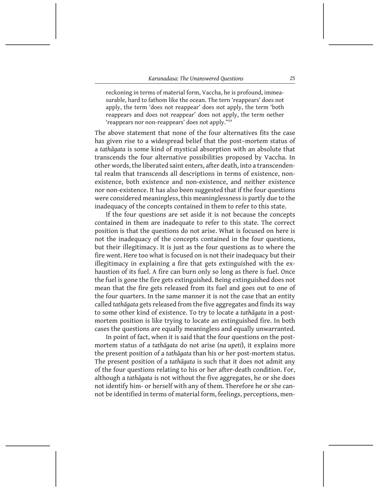reckoning in terms of material form, Vaccha, he is profound, immeasurable, hard to fathom like the ocean. The tern 'reappears' does not apply, the term 'does not reappear' does not apply, the term 'both reappears and does not reappear' does not apply, the term nether 'reappears nor non-reappears' does not apply."<sup>59</sup>

The above statement that none of the four alternatives fits the case has given rise to a widespread belief that the post–mortem status of a *tathāgata* is some kind of mystical absorption with an absolute that transcends the four alternative possibilities proposed by Vaccha. In other words, the liberated saint enters, after death, into a transcendental realm that transcends all descriptions in terms of existence, nonexistence, both existence and non-existence, and neither existence nor non-existence. It has also been suggested that if the four questions were considered meaningless, this meaninglessness is partly due to the inadequacy of the concepts contained in them to refer to this state.

If the four questions are set aside it is not because the concepts contained in them are inadequate to refer to this state. The correct position is that the questions do not arise. What is focused on here is not the inadequacy of the concepts contained in the four questions, but their illegitimacy. It is just as the four questions as to where the fire went. Here too what is focused on is not their inadequacy but their illegitimacy in explaining a fire that gets extinguished with the exhaustion of its fuel. A fire can burn only so long as there is fuel. Once the fuel is gone the fire gets extinguished. Being extinguished does not mean that the fire gets released from its fuel and goes out to one of the four quarters. In the same manner it is not the case that an entity called *tathāgata* gets released from the five aggregates and finds its way to some other kind of existence. To try to locate a *tathāgata* in a postmortem position is like trying to locate an extinguished fire. In both cases the questions are equally meaningless and equally unwarranted.

In point of fact, when it is said that the four questions on the postmortem status of a *tathāgata* do not arise (*na upeti*), it explains more the present position of a *tathāgata* than his or her post-mortem status. The present position of a *tathāgata* is such that it does not admit any of the four questions relating to his or her after-death condition. For, although a *tathāgata* is not without the five aggregates, he or she does not identify him- or herself with any of them. Therefore he or she cannot be identified in terms of material form, feelings, perceptions, men-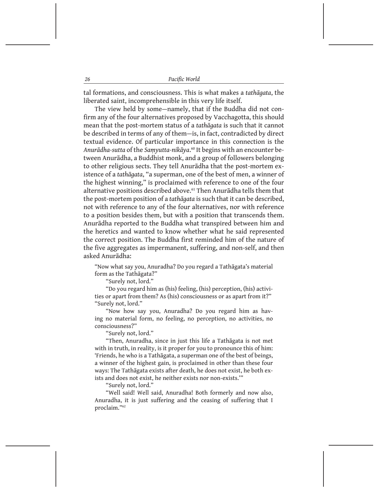tal formations, and consciousness. This is what makes a *tathāgata*, the liberated saint, incomprehensible in this very life itself.

The view held by some—namely, that if the Buddha did not confirm any of the four alternatives proposed by Vacchagotta, this should mean that the post-mortem status of a *tathāgata* is such that it cannot be described in terms of any of them—is, in fact, contradicted by direct textual evidence. Of particular importance in this connection is the *Anurādha-sutta* of the *Saṃyutta-nikāya*. <sup>60</sup> It begins with an encounter between Anurādha, a Buddhist monk, and a group of followers belonging to other religious sects. They tell Anurādha that the post-mortem existence of a *tathāgata*, "a superman, one of the best of men, a winner of the highest winning," is proclaimed with reference to one of the four alternative positions described above.<sup>61</sup> Then Anurādha tells them that the post-mortem position of a *tathāgata* is such that it can be described, not with reference to any of the four alternatives, nor with reference to a position besides them, but with a position that transcends them. Anurādha reported to the Buddha what transpired between him and the heretics and wanted to know whether what he said represented the correct position. The Buddha first reminded him of the nature of the five aggregates as impermanent, suffering, and non-self, and then asked Anurādha:

"Now what say you, Anuradha? Do you regard a Tathāgata's material form as the Tathāgata?"

"Surely not, lord."

"Do you regard him as (his) feeling, (his) perception, (his) activities or apart from them? As (his) consciousness or as apart from it?" "Surely not, lord."

"Now how say you, Anuradha? Do you regard him as having no material form, no feeling, no perception, no activities, no consciousness?"

"Surely not, lord."

"Then, Anuradha, since in just this life a Tathāgata is not met with in truth, in reality, is it proper for you to pronounce this of him: 'Friends, he who is a Tathāgata, a superman one of the best of beings, a winner of the highest gain, is proclaimed in other than these four ways: The Tathāgata exists after death, he does not exist, he both exists and does not exist, he neither exists nor non-exists.'"

"Surely not, lord."

"Well said! Well said, Anuradha! Both formerly and now also, Anuradha, it is just suffering and the ceasing of suffering that I proclaim."62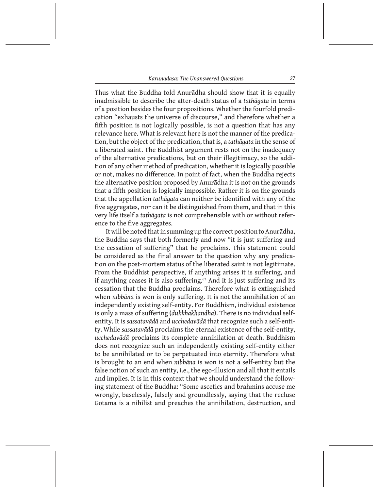Thus what the Buddha told Anurādha should show that it is equally inadmissible to describe the after-death status of a *tathāgata* in terms of a position besides the four propositions. Whether the fourfold predication "exhausts the universe of discourse," and therefore whether a fifth position is not logically possible, is not a question that has any relevance here. What is relevant here is not the manner of the predication, but the object of the predication, that is, a *tathāgata* in the sense of a liberated saint. The Buddhist argument rests not on the inadequacy of the alternative predications, but on their illegitimacy, so the addition of any other method of predication, whether it is logically possible or not, makes no difference. In point of fact, when the Buddha rejects the alternative position proposed by Anurādha it is not on the grounds that a fifth position is logically impossible. Rather it is on the grounds that the appellation *tathāgata* can neither be identified with any of the five aggregates, nor can it be distinguished from them, and that in this very life itself a *tathāgata* is not comprehensible with or without reference to the five aggregates.

It will be noted that in summing up the correct position to Anurādha, the Buddha says that both formerly and now "it is just suffering and the cessation of suffering" that he proclaims. This statement could be considered as the final answer to the question why any predication on the post-mortem status of the liberated saint is not legitimate. From the Buddhist perspective, if anything arises it is suffering, and if anything ceases it is also suffering.<sup>63</sup> And it is just suffering and its cessation that the Buddha proclaims. Therefore what is extinguished when *nibbāna* is won is only suffering. It is not the annihilation of an independently existing self-entity. For Buddhism, individual existence is only a mass of suffering (*dukkhakhandha*). There is no individual selfentity. It is *sassatavādā* and *ucchedavādā* that recognize such a self-entity. While *sassatavādā* proclaims the eternal existence of the self-entity, *ucchedavādā* proclaims its complete annihilation at death. Buddhism does not recognize such an independently existing self-entity either to be annihilated or to be perpetuated into eternity. Therefore what is brought to an end when *nibbāna* is won is not a self-entity but the false notion of such an entity, i.e., the ego-illusion and all that it entails and implies. It is in this context that we should understand the following statement of the Buddha: "Some ascetics and brahmins accuse me wrongly, baselessly, falsely and groundlessly, saying that the recluse Gotama is a nihilist and preaches the annihilation, destruction, and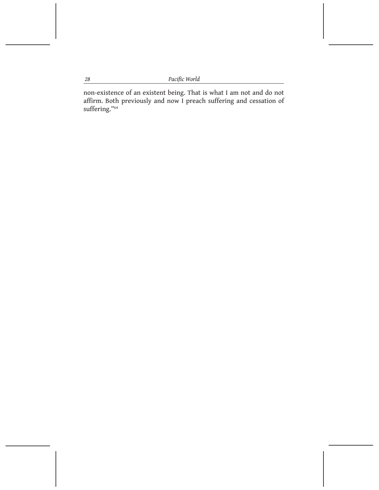non-existence of an existent being. That is what I am not and do not affirm. Both previously and now I preach suffering and cessation of suffering."64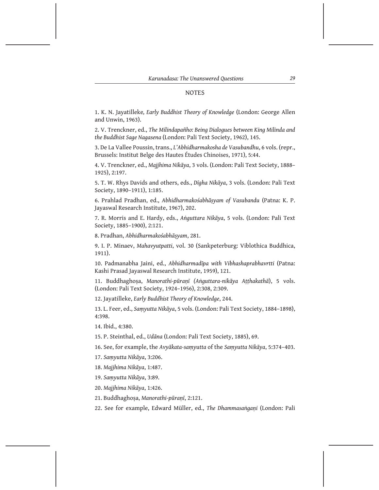## **NOTES**

1. K. N. Jayatilleke*, Early Buddhist Theory of Knowledge* (London: George Allen and Unwin, 1963).

2. V. Trenckner, ed., *The Milindapañho: Being Dialogues between King Milinda and the Buddhist Sage Nagasena* (London: Pali Text Society, 1962), 145.

3. De La Vallee Poussin, trans., *L'Abhidharmakosha de Vasubandhu*, 6 vols. (repr., Brussels: Institut Belge des Hautes Études Chinoises, 1971), 5:44.

4. V. Trenckner, ed., *Majjhima Nikāya*, 3 vols. (London: Pali Text Society, 1888– 1925), 2:197.

5. T. W. Rhys Davids and others, eds., *Dīgha Nikāya*, 3 vols. (London: Pali Text Society, 1890–1911), 1:185.

6. Prahlad Pradhan, ed., *Abhidharmakośabhāṣyam of Vasubandu* (Patna: K. P. Jayaswal Research Institute, 1967), 202.

7. R. Morris and E. Hardy, eds., *Aṅguttara Nikāya*, 5 vols. (London: Pali Text Society, 1885–1900), 2:121.

8. Pradhan, *Abhidharmakośabhāṣyam*, 281.

9. I. P. Minaev, *Mahavyutpatti*, vol. 30 (Sankpeterburg: Viblothica Buddhica, 1911).

10. Padmanabha Jaini, ed., *Abhidharmadīpa with Vibhashaprabhavrtti* (Patna: Kashi Prasad Jayaswal Research Institute, 1959), 121.

11. Buddhaghoṣa, *Manorathi-pūraṇī (Aṅguttara-nikāya Aṭṭhakathā*), 5 vols. (London: Pali Text Society, 1924–1956), 2:308, 2:309.

12. Jayatilleke, *Early Buddhist Theory of Knowledge*, 244.

13. L. Feer, ed., *Saṃyutta Nikāya*, 5 vols. (London: Pali Text Society, 1884–1898), 4:398.

14. Ibid., 4:380.

15. P. Steinthal, ed., *Udāna* (London: Pali Text Society, 1885), 69.

16. See, for example, the *Avyākata-saṃyutta* of the *Saṃyutta Nikāya*, 5:374–403.

17. *Saṃyutta Nikāya*, 3:206.

18. *Majjhima Nikāya*, 1:487.

19. *Saṃyutta Nikāya*, 3:89.

20. *Majjhima Nikāya*, 1:426.

21. Buddhaghoṣa, *Manorathi-pūraṇī*, 2:121.

22. See for example, Edward Müller, ed., *The Dhammasaṅgaṇi* (London: Pali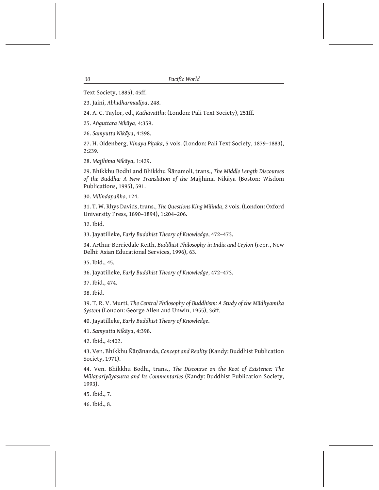Text Society, 1885), 45ff.

23. Jaini, *Abhidharmadīpa*, 248.

24. A. C. Taylor, ed., *Kathāvatthu* (London: Pali Text Society), 251ff.

25. *Aṅguttara Nikāya*, 4:359.

26. *Saṃyutta Nikāya*, 4:398.

27. H. Oldenberg, *Vinaya Piṭaka*, 5 vols. (London: Pali Text Society, 1879–1883), 2:239.

28. *Majjhima Nikāya*, 1:429.

29. Bhikkhu Bodhi and Bhikkhu Ñāṇamoli, trans., *The Middle Length Discourses of the Buddha: A New Translation of the* Majjhima Nikāya (Boston: Wisdom Publications, 1995), 591.

30. *Milindapañho*, 124.

31. T. W. Rhys Davids, trans., *The Questions King Milinda*, 2 vols. (London: Oxford University Press, 1890–1894), 1:204–206.

32. Ibid.

33. Jayatilleke, *Early Buddhist Theory of Knowledge*, 472–473.

34. Arthur Berriedale Keith, *Buddhist Philosophy in India and Ceylon* (repr., New Delhi: Asian Educational Services, 1996), 63.

35. Ibid., 45.

36. Jayatilleke, *Early Buddhist Theory of Knowledge*, 472–473.

37. Ibid., 474.

38. Ibid.

39. T. R. V. Murti, *The Central Philosophy of Buddhism: A Study of the Mādhyamika System* (London: George Allen and Unwin, 1955), 36ff.

40. Jayatilleke, *Early Buddhist Theory of Knowledge*.

41. *Saṃyutta Nikāya*, 4:398.

42. Ibid., 4:402.

43. Ven. Bhikkhu Ñāṇānanda, *Concept and Reality* (Kandy: Buddhist Publication Society, 1971).

44. Ven. Bhikkhu Bodhi, trans., *The Discourse on the Root of Existence: The Mūlapariyāyasutta and Its Commentaries* (Kandy: Buddhist Publication Society, 1993).

45. Ibid., 7.

46. Ibid., 8.